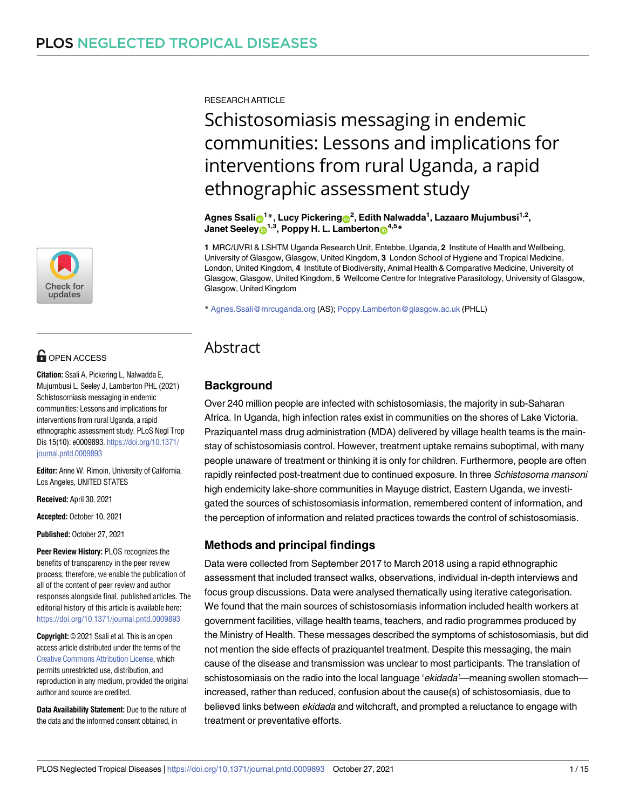

## **OPEN ACCESS**

**Citation:** Ssali A, Pickering L, Nalwadda E, Mujumbusi L, Seeley J, Lamberton PHL (2021) Schistosomiasis messaging in endemic communities: Lessons and implications for interventions from rural Uganda, a rapid ethnographic assessment study. PLoS Negl Trop Dis 15(10): e0009893. [https://doi.org/10.1371/](https://doi.org/10.1371/journal.pntd.0009893) [journal.pntd.0009893](https://doi.org/10.1371/journal.pntd.0009893)

**Editor:** Anne W. Rimoin, University of California, Los Angeles, UNITED STATES

**Received:** April 30, 2021

**Accepted:** October 10, 2021

**Published:** October 27, 2021

**Peer Review History:** PLOS recognizes the benefits of transparency in the peer review process; therefore, we enable the publication of all of the content of peer review and author responses alongside final, published articles. The editorial history of this article is available here: <https://doi.org/10.1371/journal.pntd.0009893>

**Copyright:** © 2021 Ssali et al. This is an open access article distributed under the terms of the Creative Commons [Attribution](http://creativecommons.org/licenses/by/4.0/) License, which permits unrestricted use, distribution, and reproduction in any medium, provided the original author and source are credited.

**Data Availability Statement:** Due to the nature of the data and the informed consent obtained, in

RESEARCH ARTICLE

# Schistosomiasis messaging in endemic communities: Lessons and implications for interventions from rural Uganda, a rapid ethnographic assessment study

 $\mathbf{A}$ gnes Ssali $\mathbf{D}^{1*}$ , Lucy Pickering $\mathbf{D}^2$ , Edith Nalwadda<sup>1</sup>, Lazaaro Mujumbusi<sup>1,2</sup>, **Janet Seeley**<sup>1,3</sup>, Poppy H. L. Lamberton<sup>4,5</sup>\*

**1** MRC/UVRI & LSHTM Uganda Research Unit, Entebbe, Uganda, **2** Institute of Health and Wellbeing, University of Glasgow, Glasgow, United Kingdom, **3** London School of Hygiene and Tropical Medicine, London, United Kingdom, **4** Institute of Biodiversity, Animal Health & Comparative Medicine, University of Glasgow, Glasgow, United Kingdom, **5** Wellcome Centre for Integrative Parasitology, University of Glasgow, Glasgow, United Kingdom

\* Agnes.Ssali@mrcuganda.org (AS); Poppy.Lamberton@glasgow.ac.uk (PHLL)

## Abstract

## **Background**

Over 240 million people are infected with schistosomiasis, the majority in sub-Saharan Africa. In Uganda, high infection rates exist in communities on the shores of Lake Victoria. Praziquantel mass drug administration (MDA) delivered by village health teams is the mainstay of schistosomiasis control. However, treatment uptake remains suboptimal, with many people unaware of treatment or thinking it is only for children. Furthermore, people are often rapidly reinfected post-treatment due to continued exposure. In three Schistosoma mansoni high endemicity lake-shore communities in Mayuge district, Eastern Uganda, we investigated the sources of schistosomiasis information, remembered content of information, and the perception of information and related practices towards the control of schistosomiasis.

## **Methods and principal findings**

Data were collected from September 2017 to March 2018 using a rapid ethnographic assessment that included transect walks, observations, individual in-depth interviews and focus group discussions. Data were analysed thematically using iterative categorisation. We found that the main sources of schistosomiasis information included health workers at government facilities, village health teams, teachers, and radio programmes produced by the Ministry of Health. These messages described the symptoms of schistosomiasis, but did not mention the side effects of praziquantel treatment. Despite this messaging, the main cause of the disease and transmission was unclear to most participants. The translation of schistosomiasis on the radio into the local language 'ekidada'—meaning swollen stomach increased, rather than reduced, confusion about the cause(s) of schistosomiasis, due to believed links between ekidada and witchcraft, and prompted a reluctance to engage with treatment or preventative efforts.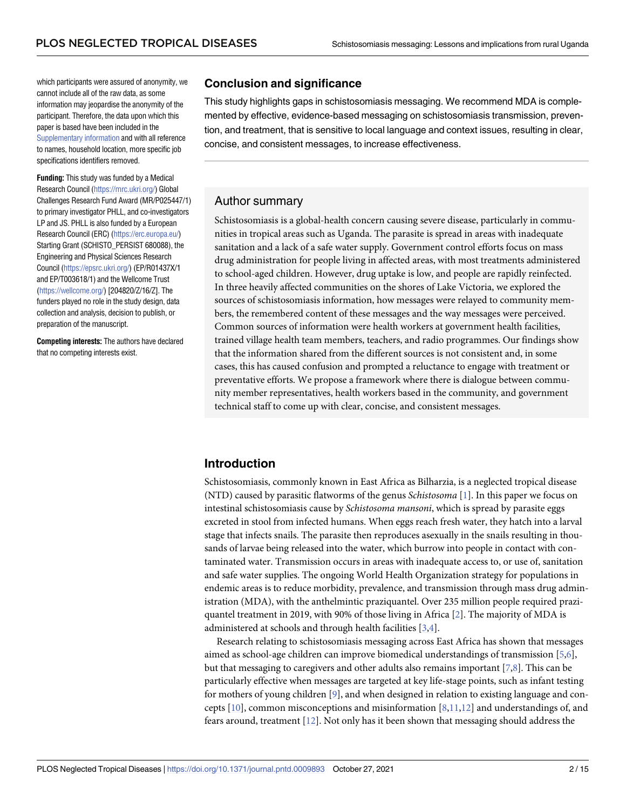<span id="page-1-0"></span>which participants were assured of anonymity, we cannot include all of the raw data, as some information may jeopardise the anonymity of the participant. Therefore, the data upon which this paper is based have been included in the [Supplementary](#page-12-0) information and with all reference to names, household location, more specific job specifications identifiers removed.

**Funding:** This study was funded by a Medical Research Council [\(https://mrc.ukri.org/](https://mrc.ukri.org/)) Global Challenges Research Fund Award (MR/P025447/1) to primary investigator PHLL, and co-investigators LP and JS. PHLL is also funded by a European Research Council (ERC) [\(https://erc.europa.eu/\)](https://erc.europa.eu/) Starting Grant (SCHISTO\_PERSIST 680088), the Engineering and Physical Sciences Research Council [\(https://epsrc.ukri.org/](https://epsrc.ukri.org/)) (EP/R01437X/1 and EP/T003618/1) and the Wellcome Trust [\(https://wellcome.org/](https://wellcome.org/)) [204820/Z/16/Z]. The funders played no role in the study design, data collection and analysis, decision to publish, or preparation of the manuscript.

**Competing interests:** The authors have declared that no competing interests exist.

## **Conclusion and significance**

This study highlights gaps in schistosomiasis messaging. We recommend MDA is complemented by effective, evidence-based messaging on schistosomiasis transmission, prevention, and treatment, that is sensitive to local language and context issues, resulting in clear, concise, and consistent messages, to increase effectiveness.

## Author summary

Schistosomiasis is a global-health concern causing severe disease, particularly in communities in tropical areas such as Uganda. The parasite is spread in areas with inadequate sanitation and a lack of a safe water supply. Government control efforts focus on mass drug administration for people living in affected areas, with most treatments administered to school-aged children. However, drug uptake is low, and people are rapidly reinfected. In three heavily affected communities on the shores of Lake Victoria, we explored the sources of schistosomiasis information, how messages were relayed to community members, the remembered content of these messages and the way messages were perceived. Common sources of information were health workers at government health facilities, trained village health team members, teachers, and radio programmes. Our findings show that the information shared from the different sources is not consistent and, in some cases, this has caused confusion and prompted a reluctance to engage with treatment or preventative efforts. We propose a framework where there is dialogue between community member representatives, health workers based in the community, and government technical staff to come up with clear, concise, and consistent messages.

## **Introduction**

Schistosomiasis, commonly known in East Africa as Bilharzia, is a neglected tropical disease (NTD) caused by parasitic flatworms of the genus *Schistosoma* [[1\]](#page-13-0). In this paper we focus on intestinal schistosomiasis cause by *Schistosoma mansoni*, which is spread by parasite eggs excreted in stool from infected humans. When eggs reach fresh water, they hatch into a larval stage that infects snails. The parasite then reproduces asexually in the snails resulting in thousands of larvae being released into the water, which burrow into people in contact with contaminated water. Transmission occurs in areas with inadequate access to, or use of, sanitation and safe water supplies. The ongoing World Health Organization strategy for populations in endemic areas is to reduce morbidity, prevalence, and transmission through mass drug administration (MDA), with the anthelmintic praziquantel. Over 235 million people required praziquantel treatment in 2019, with 90% of those living in Africa [\[2](#page-13-0)]. The majority of MDA is administered at schools and through health facilities [[3,4\]](#page-13-0).

Research relating to schistosomiasis messaging across East Africa has shown that messages aimed as school-age children can improve biomedical understandings of transmission [\[5,6\]](#page-13-0), but that messaging to caregivers and other adults also remains important [[7](#page-13-0),[8](#page-13-0)]. This can be particularly effective when messages are targeted at key life-stage points, such as infant testing for mothers of young children [\[9\]](#page-13-0), and when designed in relation to existing language and concepts [[10](#page-13-0)], common misconceptions and misinformation [[8](#page-13-0),[11,12\]](#page-13-0) and understandings of, and fears around, treatment [\[12\]](#page-13-0). Not only has it been shown that messaging should address the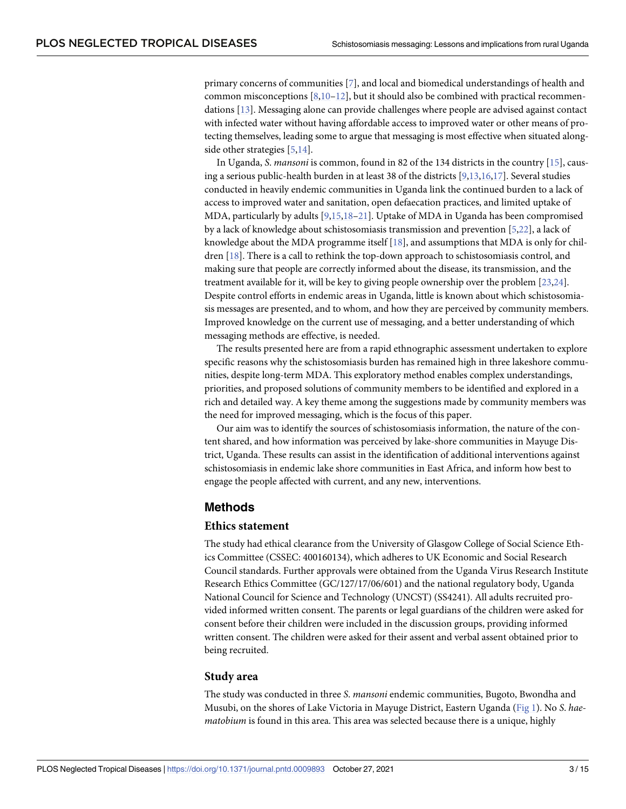<span id="page-2-0"></span>primary concerns of communities [\[7\]](#page-13-0), and local and biomedical understandings of health and common misconceptions  $[8,10-12]$ , but it should also be combined with practical recommendations [\[13\]](#page-13-0). Messaging alone can provide challenges where people are advised against contact with infected water without having affordable access to improved water or other means of protecting themselves, leading some to argue that messaging is most effective when situated alongside other strategies [\[5,14\]](#page-13-0).

In Uganda, *S*. *mansoni* is common, found in 82 of the 134 districts in the country [[15](#page-13-0)], causing a serious public-health burden in at least 38 of the districts [[9,13,16](#page-13-0),[17\]](#page-13-0). Several studies conducted in heavily endemic communities in Uganda link the continued burden to a lack of access to improved water and sanitation, open defaecation practices, and limited uptake of MDA, particularly by adults [\[9,15,18](#page-13-0)–[21\]](#page-14-0). Uptake of MDA in Uganda has been compromised by a lack of knowledge about schistosomiasis transmission and prevention [[5](#page-13-0),[22](#page-14-0)], a lack of knowledge about the MDA programme itself [\[18\]](#page-13-0), and assumptions that MDA is only for children [\[18\]](#page-13-0). There is a call to rethink the top-down approach to schistosomiasis control, and making sure that people are correctly informed about the disease, its transmission, and the treatment available for it, will be key to giving people ownership over the problem [\[23,24](#page-14-0)]. Despite control efforts in endemic areas in Uganda, little is known about which schistosomiasis messages are presented, and to whom, and how they are perceived by community members. Improved knowledge on the current use of messaging, and a better understanding of which messaging methods are effective, is needed.

The results presented here are from a rapid ethnographic assessment undertaken to explore specific reasons why the schistosomiasis burden has remained high in three lakeshore communities, despite long-term MDA. This exploratory method enables complex understandings, priorities, and proposed solutions of community members to be identified and explored in a rich and detailed way. A key theme among the suggestions made by community members was the need for improved messaging, which is the focus of this paper.

Our aim was to identify the sources of schistosomiasis information, the nature of the content shared, and how information was perceived by lake-shore communities in Mayuge District, Uganda. These results can assist in the identification of additional interventions against schistosomiasis in endemic lake shore communities in East Africa, and inform how best to engage the people affected with current, and any new, interventions.

#### **Methods**

#### **Ethics statement**

The study had ethical clearance from the University of Glasgow College of Social Science Ethics Committee (CSSEC: 400160134), which adheres to UK Economic and Social Research Council standards. Further approvals were obtained from the Uganda Virus Research Institute Research Ethics Committee (GC/127/17/06/601) and the national regulatory body, Uganda National Council for Science and Technology (UNCST) (SS4241). All adults recruited provided informed written consent. The parents or legal guardians of the children were asked for consent before their children were included in the discussion groups, providing informed written consent. The children were asked for their assent and verbal assent obtained prior to being recruited.

#### **Study area**

The study was conducted in three *S*. *mansoni* endemic communities, Bugoto, Bwondha and Musubi, on the shores of Lake Victoria in Mayuge District, Eastern Uganda [\(Fig](#page-3-0) 1). No *S*. *haematobium* is found in this area. This area was selected because there is a unique, highly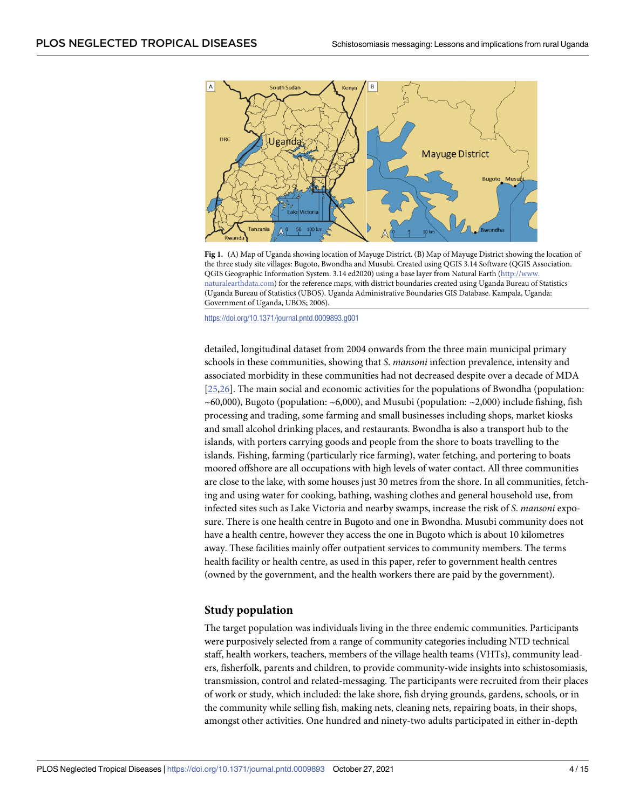<span id="page-3-0"></span>

**[Fig](#page-2-0) 1.** (A) Map of Uganda showing location of Mayuge District. (B) Map of Mayuge District showing the location of the three study site villages: Bugoto, Bwondha and Musubi. Created using QGIS 3.14 Software (QGIS Association. QGIS Geographic Information System. 3.14 ed2020) using a base layer from Natural Earth ([http://www.](http://www.naturalearthdata.com) [naturalearthdata.com](http://www.naturalearthdata.com)) for the reference maps, with district boundaries created using Uganda Bureau of Statistics (Uganda Bureau of Statistics (UBOS). Uganda Administrative Boundaries GIS Database. Kampala, Uganda: Government of Uganda, UBOS; 2006).

<https://doi.org/10.1371/journal.pntd.0009893.g001>

detailed, longitudinal dataset from 2004 onwards from the three main municipal primary schools in these communities, showing that *S*. *mansoni* infection prevalence, intensity and associated morbidity in these communities had not decreased despite over a decade of MDA [\[25,26\]](#page-14-0). The main social and economic activities for the populations of Bwondha (population:  $\sim$  60,000), Bugoto (population:  $\sim$  6,000), and Musubi (population:  $\sim$  2,000) include fishing, fish processing and trading, some farming and small businesses including shops, market kiosks and small alcohol drinking places, and restaurants. Bwondha is also a transport hub to the islands, with porters carrying goods and people from the shore to boats travelling to the islands. Fishing, farming (particularly rice farming), water fetching, and portering to boats moored offshore are all occupations with high levels of water contact. All three communities are close to the lake, with some houses just 30 metres from the shore. In all communities, fetching and using water for cooking, bathing, washing clothes and general household use, from infected sites such as Lake Victoria and nearby swamps, increase the risk of *S*. *mansoni* exposure. There is one health centre in Bugoto and one in Bwondha. Musubi community does not have a health centre, however they access the one in Bugoto which is about 10 kilometres away. These facilities mainly offer outpatient services to community members. The terms health facility or health centre, as used in this paper, refer to government health centres (owned by the government, and the health workers there are paid by the government).

#### **Study population**

The target population was individuals living in the three endemic communities. Participants were purposively selected from a range of community categories including NTD technical staff, health workers, teachers, members of the village health teams (VHTs), community leaders, fisherfolk, parents and children, to provide community-wide insights into schistosomiasis, transmission, control and related-messaging. The participants were recruited from their places of work or study, which included: the lake shore, fish drying grounds, gardens, schools, or in the community while selling fish, making nets, cleaning nets, repairing boats, in their shops, amongst other activities. One hundred and ninety-two adults participated in either in-depth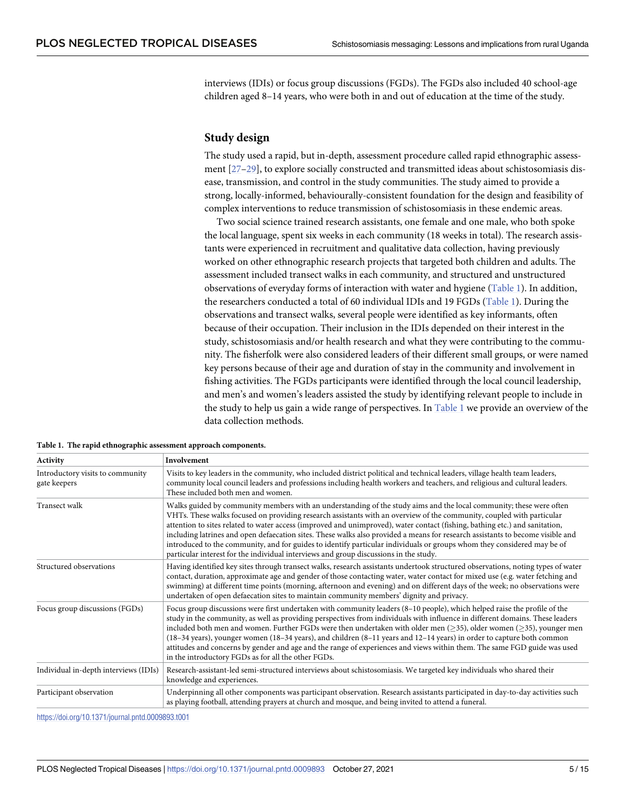<span id="page-4-0"></span>interviews (IDIs) or focus group discussions (FGDs). The FGDs also included 40 school-age children aged 8–14 years, who were both in and out of education at the time of the study.

#### **Study design**

The study used a rapid, but in-depth, assessment procedure called rapid ethnographic assessment [\[27–29\]](#page-14-0), to explore socially constructed and transmitted ideas about schistosomiasis disease, transmission, and control in the study communities. The study aimed to provide a strong, locally-informed, behaviourally-consistent foundation for the design and feasibility of complex interventions to reduce transmission of schistosomiasis in these endemic areas.

Two social science trained research assistants, one female and one male, who both spoke the local language, spent six weeks in each community (18 weeks in total). The research assistants were experienced in recruitment and qualitative data collection, having previously worked on other ethnographic research projects that targeted both children and adults. The assessment included transect walks in each community, and structured and unstructured observations of everyday forms of interaction with water and hygiene (Table 1). In addition, the researchers conducted a total of 60 individual IDIs and 19 FGDs (Table 1). During the observations and transect walks, several people were identified as key informants, often because of their occupation. Their inclusion in the IDIs depended on their interest in the study, schistosomiasis and/or health research and what they were contributing to the community. The fisherfolk were also considered leaders of their different small groups, or were named key persons because of their age and duration of stay in the community and involvement in fishing activities. The FGDs participants were identified through the local council leadership, and men's and women's leaders assisted the study by identifying relevant people to include in the study to help us gain a wide range of perspectives. In Table 1 we provide an overview of the data collection methods.

| Activity                                         | Involvement                                                                                                                                                                                                                                                                                                                                                                                                                                                                                                                                                                                                                                                                                                                                    |
|--------------------------------------------------|------------------------------------------------------------------------------------------------------------------------------------------------------------------------------------------------------------------------------------------------------------------------------------------------------------------------------------------------------------------------------------------------------------------------------------------------------------------------------------------------------------------------------------------------------------------------------------------------------------------------------------------------------------------------------------------------------------------------------------------------|
| Introductory visits to community<br>gate keepers | Visits to key leaders in the community, who included district political and technical leaders, village health team leaders,<br>community local council leaders and professions including health workers and teachers, and religious and cultural leaders.<br>These included both men and women.                                                                                                                                                                                                                                                                                                                                                                                                                                                |
| Transect walk                                    | Walks guided by community members with an understanding of the study aims and the local community; these were often<br>VHTs. These walks focused on providing research assistants with an overview of the community, coupled with particular<br>attention to sites related to water access (improved and unimproved), water contact (fishing, bathing etc.) and sanitation,<br>including latrines and open defaecation sites. These walks also provided a means for research assistants to become visible and<br>introduced to the community, and for guides to identify particular individuals or groups whom they considered may be of<br>particular interest for the individual interviews and group discussions in the study.              |
| Structured observations                          | Having identified key sites through transect walks, research assistants undertook structured observations, noting types of water<br>contact, duration, approximate age and gender of those contacting water, water contact for mixed use (e.g. water fetching and<br>swimming) at different time points (morning, afternoon and evening) and on different days of the week; no observations were<br>undertaken of open defaecation sites to maintain community members' dignity and privacy.                                                                                                                                                                                                                                                   |
| Focus group discussions (FGDs)                   | Focus group discussions were first undertaken with community leaders (8–10 people), which helped raise the profile of the<br>study in the community, as well as providing perspectives from individuals with influence in different domains. These leaders<br>included both men and women. Further FGDs were then undertaken with older men $($ >35), older women $($ >35), younger men<br>$(18-34 \text{ years})$ , younger women $(18-34 \text{ years})$ , and children $(8-11 \text{ years})$ and $12-14 \text{ years})$ in order to capture both common<br>attitudes and concerns by gender and age and the range of experiences and views within them. The same FGD guide was used<br>in the introductory FGDs as for all the other FGDs. |
| Individual in-depth interviews (IDIs)            | Research-assistant-led semi-structured interviews about schistosomiasis. We targeted key individuals who shared their<br>knowledge and experiences.                                                                                                                                                                                                                                                                                                                                                                                                                                                                                                                                                                                            |
| Participant observation                          | Underpinning all other components was participant observation. Research assistants participated in day-to-day activities such<br>as playing football, attending prayers at church and mosque, and being invited to attend a funeral.                                                                                                                                                                                                                                                                                                                                                                                                                                                                                                           |

**Table 1. The rapid ethnographic assessment approach components.**

<https://doi.org/10.1371/journal.pntd.0009893.t001>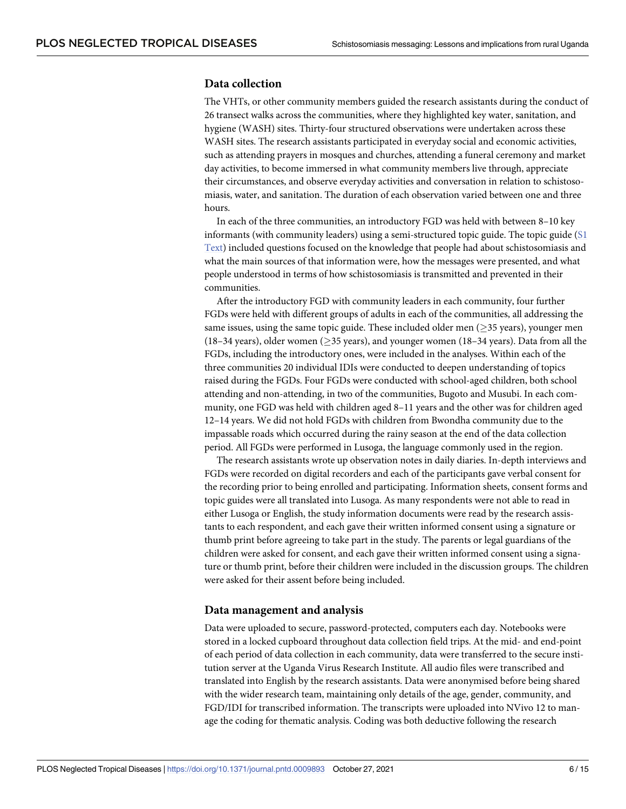## **Data collection**

The VHTs, or other community members guided the research assistants during the conduct of 26 transect walks across the communities, where they highlighted key water, sanitation, and hygiene (WASH) sites. Thirty-four structured observations were undertaken across these WASH sites. The research assistants participated in everyday social and economic activities, such as attending prayers in mosques and churches, attending a funeral ceremony and market day activities, to become immersed in what community members live through, appreciate their circumstances, and observe everyday activities and conversation in relation to schistosomiasis, water, and sanitation. The duration of each observation varied between one and three hours.

In each of the three communities, an introductory FGD was held with between 8–10 key informants (with community leaders) using a semi-structured topic guide. The topic guide [\(S1](#page-12-0) [Text\)](#page-12-0) included questions focused on the knowledge that people had about schistosomiasis and what the main sources of that information were, how the messages were presented, and what people understood in terms of how schistosomiasis is transmitted and prevented in their communities.

After the introductory FGD with community leaders in each community, four further FGDs were held with different groups of adults in each of the communities, all addressing the same issues, using the same topic guide. These included older men  $($ >35 years), younger men (18–34 years), older women ( $\geq$ 35 years), and younger women (18–34 years). Data from all the FGDs, including the introductory ones, were included in the analyses. Within each of the three communities 20 individual IDIs were conducted to deepen understanding of topics raised during the FGDs. Four FGDs were conducted with school-aged children, both school attending and non-attending, in two of the communities, Bugoto and Musubi. In each community, one FGD was held with children aged 8–11 years and the other was for children aged 12–14 years. We did not hold FGDs with children from Bwondha community due to the impassable roads which occurred during the rainy season at the end of the data collection period. All FGDs were performed in Lusoga, the language commonly used in the region.

The research assistants wrote up observation notes in daily diaries. In-depth interviews and FGDs were recorded on digital recorders and each of the participants gave verbal consent for the recording prior to being enrolled and participating. Information sheets, consent forms and topic guides were all translated into Lusoga. As many respondents were not able to read in either Lusoga or English, the study information documents were read by the research assistants to each respondent, and each gave their written informed consent using a signature or thumb print before agreeing to take part in the study. The parents or legal guardians of the children were asked for consent, and each gave their written informed consent using a signature or thumb print, before their children were included in the discussion groups. The children were asked for their assent before being included.

#### **Data management and analysis**

Data were uploaded to secure, password-protected, computers each day. Notebooks were stored in a locked cupboard throughout data collection field trips. At the mid- and end-point of each period of data collection in each community, data were transferred to the secure institution server at the Uganda Virus Research Institute. All audio files were transcribed and translated into English by the research assistants. Data were anonymised before being shared with the wider research team, maintaining only details of the age, gender, community, and FGD/IDI for transcribed information. The transcripts were uploaded into NVivo 12 to manage the coding for thematic analysis. Coding was both deductive following the research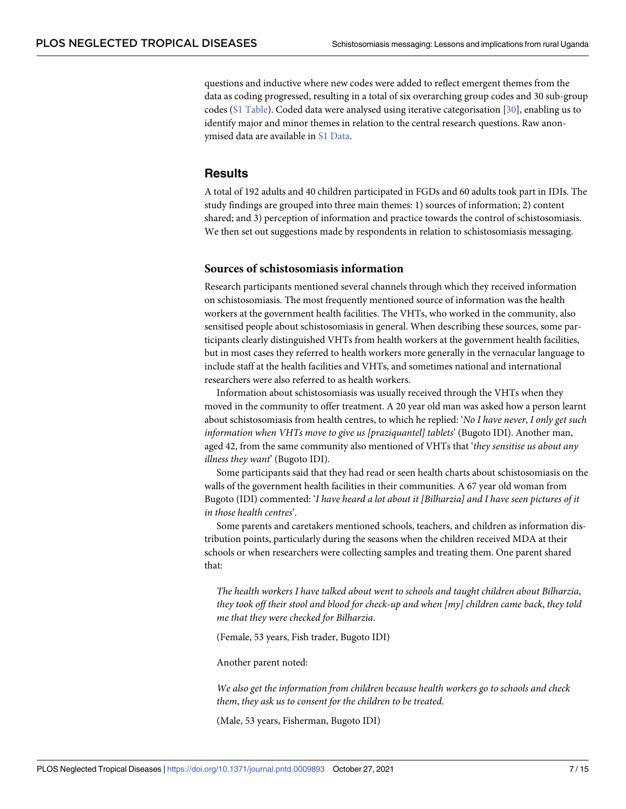<span id="page-6-0"></span>questions and inductive where new codes were added to reflect emergent themes from the data as coding progressed, resulting in a total of six overarching group codes and 30 sub-group codes (S1 [Table\)](#page-12-0). Coded data were analysed using iterative categorisation [\[30\]](#page-14-0), enabling us to identify major and minor themes in relation to the central research questions. Raw anonymised data are available in S1 [Data](#page-12-0).

### **Results**

A total of 192 adults and 40 children participated in FGDs and 60 adults took part in IDIs. The study findings are grouped into three main themes: 1) sources of information; 2) content shared; and 3) perception of information and practice towards the control of schistosomiasis. We then set out suggestions made by respondents in relation to schistosomiasis messaging.

### **Sources of schistosomiasis information**

Research participants mentioned several channels through which they received information on schistosomiasis. The most frequently mentioned source of information was the health workers at the government health facilities. The VHTs, who worked in the community, also sensitised people about schistosomiasis in general. When describing these sources, some participants clearly distinguished VHTs from health workers at the government health facilities, but in most cases they referred to health workers more generally in the vernacular language to include staff at the health facilities and VHTs, and sometimes national and international researchers were also referred to as health workers.

Information about schistosomiasis was usually received through the VHTs when they moved in the community to offer treatment. A 20 year old man was asked how a person learnt about schistosomiasis from health centres, to which he replied: '*No I have never*, *I only get such information when VHTs move to give us [praziquantel] tablets*' (Bugoto IDI). Another man, aged 42, from the same community also mentioned of VHTs that '*they sensitise us about any illness they want*' (Bugoto IDI).

Some participants said that they had read or seen health charts about schistosomiasis on the walls of the government health facilities in their communities. A 67 year old woman from Bugoto (IDI) commented: '*I have heard a lot about it [Bilharzia] and I have seen pictures of it in those health centres*'.

Some parents and caretakers mentioned schools, teachers, and children as information distribution points, particularly during the seasons when the children received MDA at their schools or when researchers were collecting samples and treating them. One parent shared that:

*The health workers I have talked about went to schools and taught children about Bilharzia*, *they took off their stool and blood for check-up and when [my] children came back*, *they told me that they were checked for Bilharzia*.

(Female, 53 years, Fish trader, Bugoto IDI)

Another parent noted:

*We also get the information from children because health workers go to schools and check them*, *they ask us to consent for the children to be treated*.

(Male, 53 years, Fisherman, Bugoto IDI)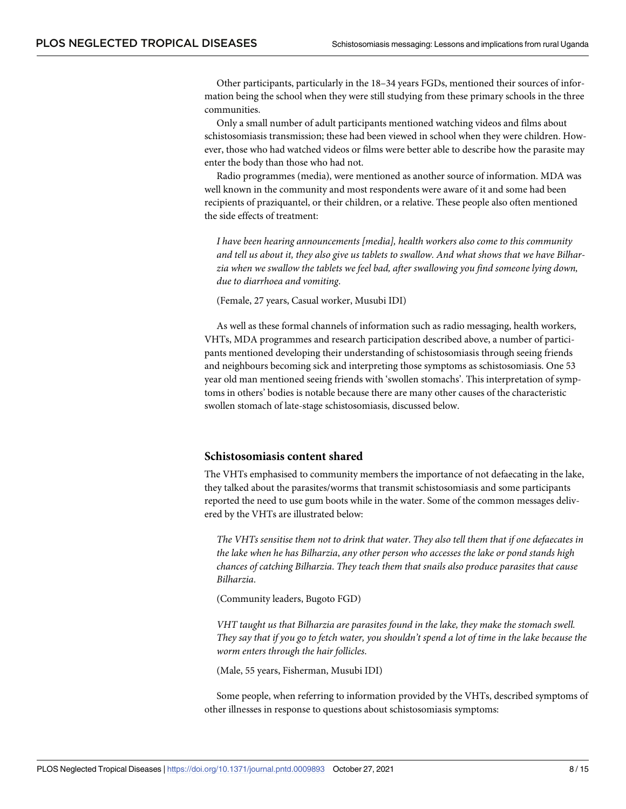Other participants, particularly in the 18–34 years FGDs, mentioned their sources of information being the school when they were still studying from these primary schools in the three communities.

Only a small number of adult participants mentioned watching videos and films about schistosomiasis transmission; these had been viewed in school when they were children. However, those who had watched videos or films were better able to describe how the parasite may enter the body than those who had not.

Radio programmes (media), were mentioned as another source of information. MDA was well known in the community and most respondents were aware of it and some had been recipients of praziquantel, or their children, or a relative. These people also often mentioned the side effects of treatment:

*I have been hearing announcements [media], health workers also come to this community* and tell us about it, they also give us tablets to swallow. And what shows that we have Bilhar*zia when we swallow the tablets we feel bad, after swallowing you find someone lying down, due to diarrhoea and vomiting*.

(Female, 27 years, Casual worker, Musubi IDI)

As well as these formal channels of information such as radio messaging, health workers, VHTs, MDA programmes and research participation described above, a number of participants mentioned developing their understanding of schistosomiasis through seeing friends and neighbours becoming sick and interpreting those symptoms as schistosomiasis. One 53 year old man mentioned seeing friends with 'swollen stomachs'. This interpretation of symptoms in others' bodies is notable because there are many other causes of the characteristic swollen stomach of late-stage schistosomiasis, discussed below.

#### **Schistosomiasis content shared**

The VHTs emphasised to community members the importance of not defaecating in the lake, they talked about the parasites/worms that transmit schistosomiasis and some participants reported the need to use gum boots while in the water. Some of the common messages delivered by the VHTs are illustrated below:

*The VHTs sensitise them not to drink that water*. *They also tell them that if one defaecates in the lake when he has Bilharzia*, *any other person who accesses the lake or pond stands high chances of catching Bilharzia*. *They teach them that snails also produce parasites that cause Bilharzia*.

(Community leaders, Bugoto FGD)

*VHT taught us that Bilharzia are parasites found in the lake, they make the stomach swell.* They say that if you go to fetch water, you shouldn't spend a lot of time in the lake because the *worm enters through the hair follicles*.

(Male, 55 years, Fisherman, Musubi IDI)

Some people, when referring to information provided by the VHTs, described symptoms of other illnesses in response to questions about schistosomiasis symptoms: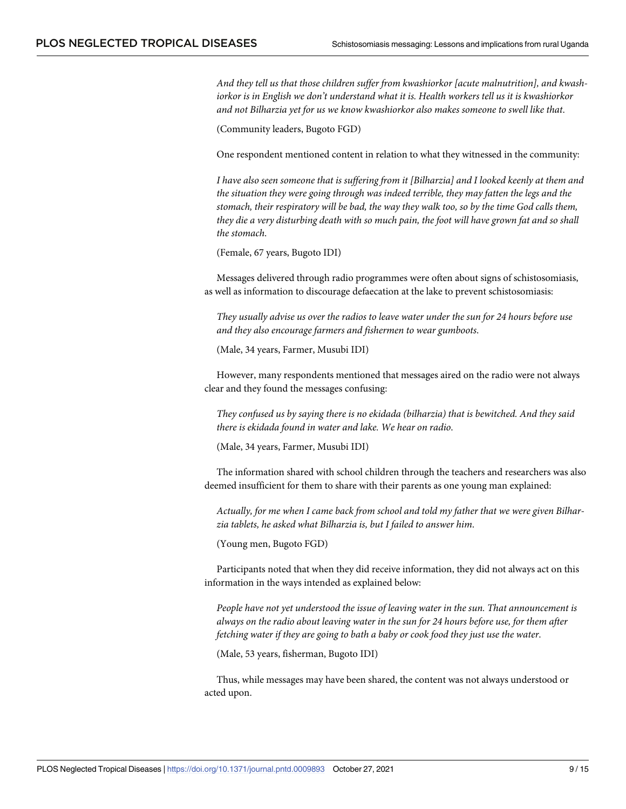*And they tell us that those children suffer from kwashiorkor [acute malnutrition], and kwashiorkor is in English we don't understand what it is. Health workers tell us it is kwashiorkor and not Bilharzia yet for us we know kwashiorkor also makes someone to swell like that*.

(Community leaders, Bugoto FGD)

One respondent mentioned content in relation to what they witnessed in the community:

*I have also seen someone that is suffering from it [Bilharzia] and I looked keenly at them and the situation they were going through was indeed terrible, they may fatten the legs and the stomach, their respiratory will be bad, the way they walk too, so by the time God calls them,* they die a very disturbing death with so much pain, the foot will have grown fat and so shall *the stomach*.

(Female, 67 years, Bugoto IDI)

Messages delivered through radio programmes were often about signs of schistosomiasis, as well as information to discourage defaecation at the lake to prevent schistosomiasis:

*They usually advise us over the radios to leave water under the sun for 24 hours before use and they also encourage farmers and fishermen to wear gumboots*.

(Male, 34 years, Farmer, Musubi IDI)

However, many respondents mentioned that messages aired on the radio were not always clear and they found the messages confusing:

*They confused us by saying there is no ekidada (bilharzia) that is bewitched. And they said there is ekidada found in water and lake. We hear on radio*.

(Male, 34 years, Farmer, Musubi IDI)

The information shared with school children through the teachers and researchers was also deemed insufficient for them to share with their parents as one young man explained:

*Actually, for me when I came back from school and told my father that we were given Bilharzia tablets, he asked what Bilharzia is, but I failed to answer him*.

(Young men, Bugoto FGD)

Participants noted that when they did receive information, they did not always act on this information in the ways intended as explained below:

*People have not yet understood the issue of leaving water in the sun. That announcement is always on the radio about leaving water in the sun for 24 hours before use, for them after fetching water if they are going to bath a baby or cook food they just use the water*.

(Male, 53 years, fisherman, Bugoto IDI)

Thus, while messages may have been shared, the content was not always understood or acted upon.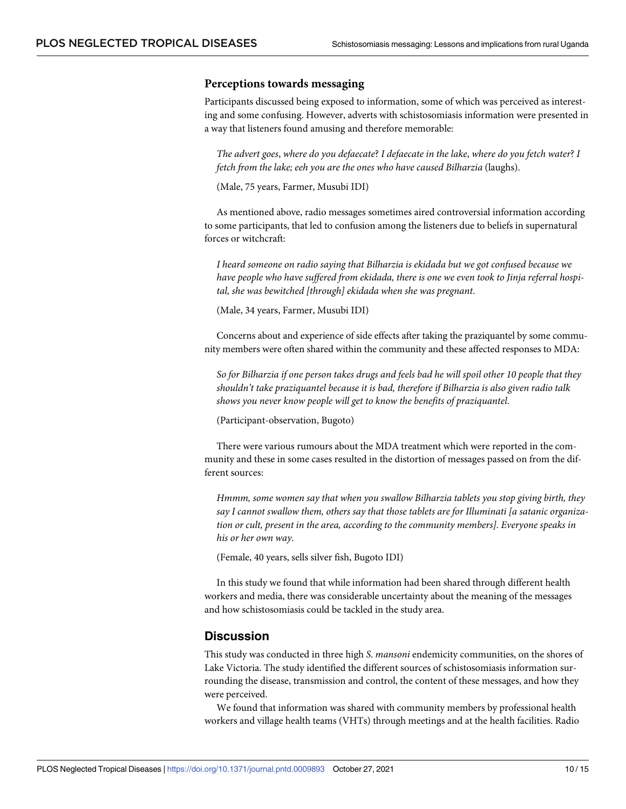#### **Perceptions towards messaging**

Participants discussed being exposed to information, some of which was perceived as interesting and some confusing. However, adverts with schistosomiasis information were presented in a way that listeners found amusing and therefore memorable:

*The advert goes*, *where do you defaecate*? *I defaecate in the lake*, *where do you fetch water*? *I fetch from the lake; eeh you are the ones who have caused Bilharzia* (laughs).

(Male, 75 years, Farmer, Musubi IDI)

As mentioned above, radio messages sometimes aired controversial information according to some participants, that led to confusion among the listeners due to beliefs in supernatural forces or witchcraft:

*I heard someone on radio saying that Bilharzia is ekidada but we got confused because we have people who have suffered from ekidada, there is one we even took to Jinja referral hospital, she was bewitched [through] ekidada when she was pregnant*.

(Male, 34 years, Farmer, Musubi IDI)

Concerns about and experience of side effects after taking the praziquantel by some community members were often shared within the community and these affected responses to MDA:

So for Bilharzia if one person takes drugs and feels bad he will spoil other 10 people that they *shouldn't take praziquantel because it is bad, therefore if Bilharzia is also given radio talk shows you never know people will get to know the benefits of praziquantel*.

(Participant-observation, Bugoto)

There were various rumours about the MDA treatment which were reported in the community and these in some cases resulted in the distortion of messages passed on from the different sources:

*Hmmm, some women say that when you swallow Bilharzia tablets you stop giving birth, they say I cannot swallow them, others say that those tablets are for Illuminati [a satanic organization or cult, present in the area, according to the community members]. Everyone speaks in his or her own way*.

(Female, 40 years, sells silver fish, Bugoto IDI)

In this study we found that while information had been shared through different health workers and media, there was considerable uncertainty about the meaning of the messages and how schistosomiasis could be tackled in the study area.

#### **Discussion**

This study was conducted in three high *S*. *mansoni* endemicity communities, on the shores of Lake Victoria. The study identified the different sources of schistosomiasis information surrounding the disease, transmission and control, the content of these messages, and how they were perceived.

We found that information was shared with community members by professional health workers and village health teams (VHTs) through meetings and at the health facilities. Radio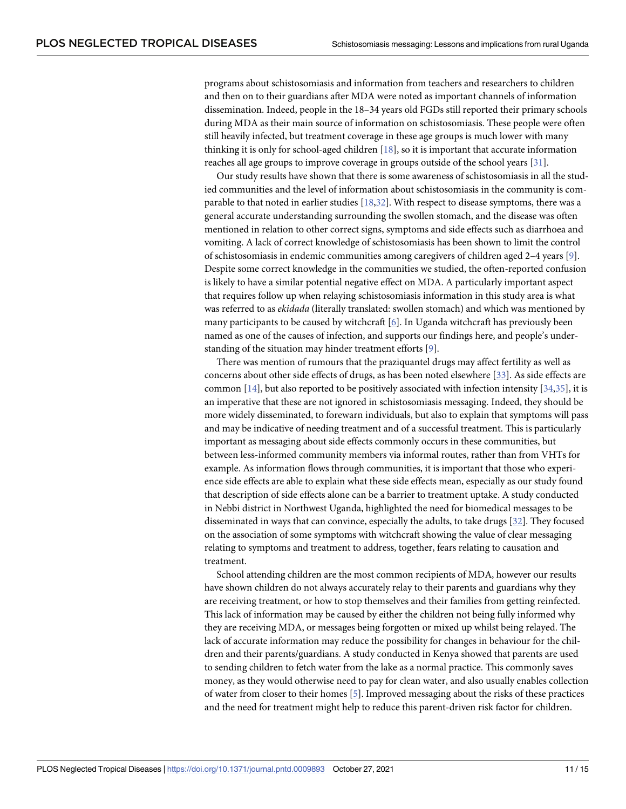<span id="page-10-0"></span>programs about schistosomiasis and information from teachers and researchers to children and then on to their guardians after MDA were noted as important channels of information dissemination. Indeed, people in the 18–34 years old FGDs still reported their primary schools during MDA as their main source of information on schistosomiasis. These people were often still heavily infected, but treatment coverage in these age groups is much lower with many thinking it is only for school-aged children [\[18\]](#page-13-0), so it is important that accurate information reaches all age groups to improve coverage in groups outside of the school years [[31](#page-14-0)].

Our study results have shown that there is some awareness of schistosomiasis in all the studied communities and the level of information about schistosomiasis in the community is comparable to that noted in earlier studies [\[18](#page-13-0),[32](#page-14-0)]. With respect to disease symptoms, there was a general accurate understanding surrounding the swollen stomach, and the disease was often mentioned in relation to other correct signs, symptoms and side effects such as diarrhoea and vomiting. A lack of correct knowledge of schistosomiasis has been shown to limit the control of schistosomiasis in endemic communities among caregivers of children aged 2–4 years [[9](#page-13-0)]. Despite some correct knowledge in the communities we studied, the often-reported confusion is likely to have a similar potential negative effect on MDA. A particularly important aspect that requires follow up when relaying schistosomiasis information in this study area is what was referred to as *ekidada* (literally translated: swollen stomach) and which was mentioned by many participants to be caused by witchcraft [[6\]](#page-13-0). In Uganda witchcraft has previously been named as one of the causes of infection, and supports our findings here, and people's understanding of the situation may hinder treatment efforts [\[9](#page-13-0)].

There was mention of rumours that the praziquantel drugs may affect fertility as well as concerns about other side effects of drugs, as has been noted elsewhere [[33](#page-14-0)]. As side effects are common  $[14]$  $[14]$  $[14]$ , but also reported to be positively associated with infection intensity  $[34,35]$  $[34,35]$ , it is an imperative that these are not ignored in schistosomiasis messaging. Indeed, they should be more widely disseminated, to forewarn individuals, but also to explain that symptoms will pass and may be indicative of needing treatment and of a successful treatment. This is particularly important as messaging about side effects commonly occurs in these communities, but between less-informed community members via informal routes, rather than from VHTs for example. As information flows through communities, it is important that those who experience side effects are able to explain what these side effects mean, especially as our study found that description of side effects alone can be a barrier to treatment uptake. A study conducted in Nebbi district in Northwest Uganda, highlighted the need for biomedical messages to be disseminated in ways that can convince, especially the adults, to take drugs [[32\]](#page-14-0). They focused on the association of some symptoms with witchcraft showing the value of clear messaging relating to symptoms and treatment to address, together, fears relating to causation and treatment.

School attending children are the most common recipients of MDA, however our results have shown children do not always accurately relay to their parents and guardians why they are receiving treatment, or how to stop themselves and their families from getting reinfected. This lack of information may be caused by either the children not being fully informed why they are receiving MDA, or messages being forgotten or mixed up whilst being relayed. The lack of accurate information may reduce the possibility for changes in behaviour for the children and their parents/guardians. A study conducted in Kenya showed that parents are used to sending children to fetch water from the lake as a normal practice. This commonly saves money, as they would otherwise need to pay for clean water, and also usually enables collection of water from closer to their homes [\[5](#page-13-0)]. Improved messaging about the risks of these practices and the need for treatment might help to reduce this parent-driven risk factor for children.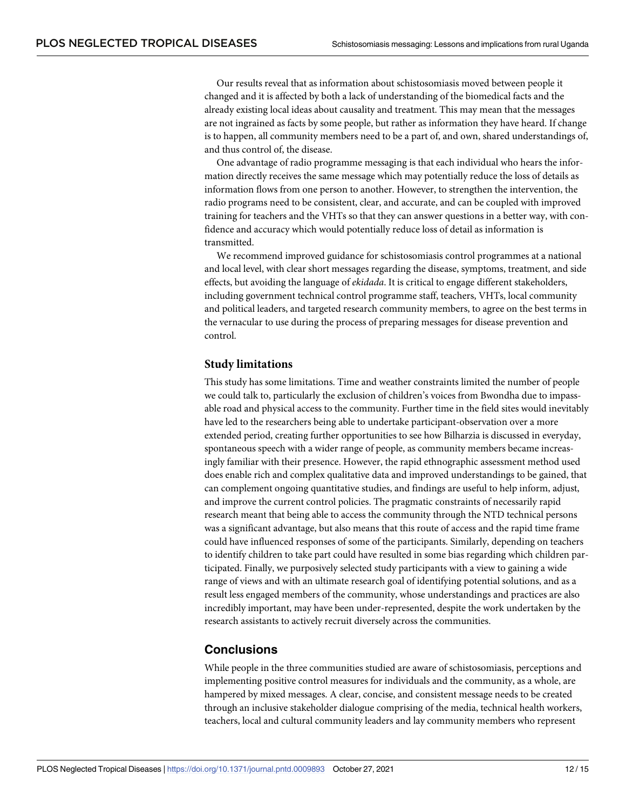Our results reveal that as information about schistosomiasis moved between people it changed and it is affected by both a lack of understanding of the biomedical facts and the already existing local ideas about causality and treatment. This may mean that the messages are not ingrained as facts by some people, but rather as information they have heard. If change is to happen, all community members need to be a part of, and own, shared understandings of, and thus control of, the disease.

One advantage of radio programme messaging is that each individual who hears the information directly receives the same message which may potentially reduce the loss of details as information flows from one person to another. However, to strengthen the intervention, the radio programs need to be consistent, clear, and accurate, and can be coupled with improved training for teachers and the VHTs so that they can answer questions in a better way, with confidence and accuracy which would potentially reduce loss of detail as information is transmitted.

We recommend improved guidance for schistosomiasis control programmes at a national and local level, with clear short messages regarding the disease, symptoms, treatment, and side effects, but avoiding the language of *ekidada*. It is critical to engage different stakeholders, including government technical control programme staff, teachers, VHTs, local community and political leaders, and targeted research community members, to agree on the best terms in the vernacular to use during the process of preparing messages for disease prevention and control.

#### **Study limitations**

This study has some limitations. Time and weather constraints limited the number of people we could talk to, particularly the exclusion of children's voices from Bwondha due to impassable road and physical access to the community. Further time in the field sites would inevitably have led to the researchers being able to undertake participant-observation over a more extended period, creating further opportunities to see how Bilharzia is discussed in everyday, spontaneous speech with a wider range of people, as community members became increasingly familiar with their presence. However, the rapid ethnographic assessment method used does enable rich and complex qualitative data and improved understandings to be gained, that can complement ongoing quantitative studies, and findings are useful to help inform, adjust, and improve the current control policies. The pragmatic constraints of necessarily rapid research meant that being able to access the community through the NTD technical persons was a significant advantage, but also means that this route of access and the rapid time frame could have influenced responses of some of the participants. Similarly, depending on teachers to identify children to take part could have resulted in some bias regarding which children participated. Finally, we purposively selected study participants with a view to gaining a wide range of views and with an ultimate research goal of identifying potential solutions, and as a result less engaged members of the community, whose understandings and practices are also incredibly important, may have been under-represented, despite the work undertaken by the research assistants to actively recruit diversely across the communities.

## **Conclusions**

While people in the three communities studied are aware of schistosomiasis, perceptions and implementing positive control measures for individuals and the community, as a whole, are hampered by mixed messages. A clear, concise, and consistent message needs to be created through an inclusive stakeholder dialogue comprising of the media, technical health workers, teachers, local and cultural community leaders and lay community members who represent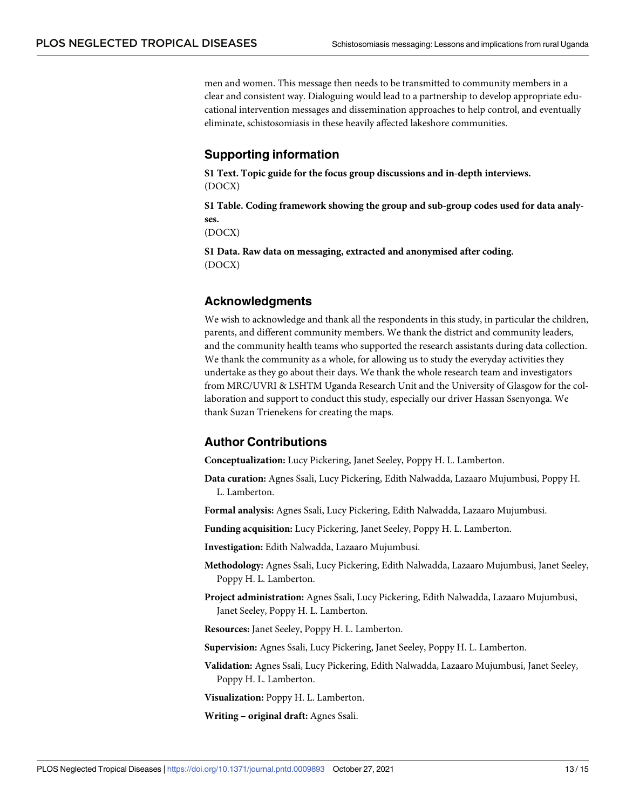<span id="page-12-0"></span>men and women. This message then needs to be transmitted to community members in a clear and consistent way. Dialoguing would lead to a partnership to develop appropriate educational intervention messages and dissemination approaches to help control, and eventually eliminate, schistosomiasis in these heavily affected lakeshore communities.

## **Supporting information**

**S1 [Text](http://journals.plos.org/plosntds/article/asset?unique&id=info:doi/10.1371/journal.pntd.0009893.s001). Topic guide for the focus group discussions and in-depth interviews.** (DOCX)

**S1 [Table.](http://journals.plos.org/plosntds/article/asset?unique&id=info:doi/10.1371/journal.pntd.0009893.s002) Coding framework showing the group and sub-group codes used for data analyses.**

(DOCX)

**S1 [Data](http://journals.plos.org/plosntds/article/asset?unique&id=info:doi/10.1371/journal.pntd.0009893.s003). Raw data on messaging, extracted and anonymised after coding.** (DOCX)

## **Acknowledgments**

We wish to acknowledge and thank all the respondents in this study, in particular the children, parents, and different community members. We thank the district and community leaders, and the community health teams who supported the research assistants during data collection. We thank the community as a whole, for allowing us to study the everyday activities they undertake as they go about their days. We thank the whole research team and investigators from MRC/UVRI & LSHTM Uganda Research Unit and the University of Glasgow for the collaboration and support to conduct this study, especially our driver Hassan Ssenyonga. We thank Suzan Trienekens for creating the maps.

## **Author Contributions**

**Conceptualization:** Lucy Pickering, Janet Seeley, Poppy H. L. Lamberton.

**Data curation:** Agnes Ssali, Lucy Pickering, Edith Nalwadda, Lazaaro Mujumbusi, Poppy H. L. Lamberton.

**Formal analysis:** Agnes Ssali, Lucy Pickering, Edith Nalwadda, Lazaaro Mujumbusi.

**Funding acquisition:** Lucy Pickering, Janet Seeley, Poppy H. L. Lamberton.

**Investigation:** Edith Nalwadda, Lazaaro Mujumbusi.

- **Methodology:** Agnes Ssali, Lucy Pickering, Edith Nalwadda, Lazaaro Mujumbusi, Janet Seeley, Poppy H. L. Lamberton.
- **Project administration:** Agnes Ssali, Lucy Pickering, Edith Nalwadda, Lazaaro Mujumbusi, Janet Seeley, Poppy H. L. Lamberton.

**Resources:** Janet Seeley, Poppy H. L. Lamberton.

**Supervision:** Agnes Ssali, Lucy Pickering, Janet Seeley, Poppy H. L. Lamberton.

**Validation:** Agnes Ssali, Lucy Pickering, Edith Nalwadda, Lazaaro Mujumbusi, Janet Seeley, Poppy H. L. Lamberton.

**Visualization:** Poppy H. L. Lamberton.

**Writing – original draft:** Agnes Ssali.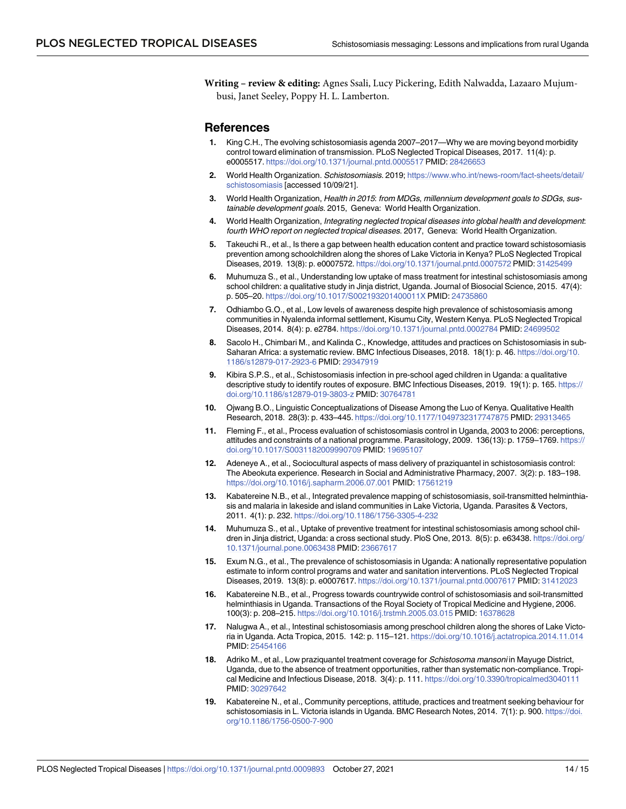<span id="page-13-0"></span>**Writing – review & editing:** Agnes Ssali, Lucy Pickering, Edith Nalwadda, Lazaaro Mujumbusi, Janet Seeley, Poppy H. L. Lamberton.

#### **References**

- **[1](#page-1-0).** King C.H., The evolving schistosomiasis agenda 2007–2017—Why we are moving beyond morbidity control toward elimination of transmission. PLoS Neglected Tropical Diseases, 2017. 11(4): p. e0005517. <https://doi.org/10.1371/journal.pntd.0005517> PMID: [28426653](http://www.ncbi.nlm.nih.gov/pubmed/28426653)
- **[2](#page-1-0).** World Health Organization. Schistosomiasis. 2019; [https://www.who.int/news-room/fact-sheets/detail/](https://www.who.int/news-room/fact-sheets/detail/schistosomiasis) [schistosomiasis](https://www.who.int/news-room/fact-sheets/detail/schistosomiasis) [accessed 10/09/21].
- **[3](#page-1-0).** World Health Organization, Health in 2015: from MDGs, millennium development goals to SDGs, sustainable development goals. 2015, Geneva: World Health Organization.
- **[4](#page-1-0).** World Health Organization, Integrating neglected tropical diseases into global health and development: fourth WHO report on neglected tropical diseases. 2017, Geneva: World Health Organization.
- **[5](#page-1-0).** Takeuchi R., et al., Is there a gap between health education content and practice toward schistosomiasis prevention among schoolchildren along the shores of Lake Victoria in Kenya? PLoS Neglected Tropical Diseases, 2019. 13(8): p. e0007572. <https://doi.org/10.1371/journal.pntd.0007572> PMID: [31425499](http://www.ncbi.nlm.nih.gov/pubmed/31425499)
- **[6](#page-1-0).** Muhumuza S., et al., Understanding low uptake of mass treatment for intestinal schistosomiasis among school children: a qualitative study in Jinja district, Uganda. Journal of Biosocial Science, 2015. 47(4): p. 505–20. <https://doi.org/10.1017/S002193201400011X> PMID: [24735860](http://www.ncbi.nlm.nih.gov/pubmed/24735860)
- **[7](#page-1-0).** Odhiambo G.O., et al., Low levels of awareness despite high prevalence of schistosomiasis among communities in Nyalenda informal settlement, Kisumu City, Western Kenya. PLoS Neglected Tropical Diseases, 2014. 8(4): p. e2784. <https://doi.org/10.1371/journal.pntd.0002784> PMID: [24699502](http://www.ncbi.nlm.nih.gov/pubmed/24699502)
- **[8](#page-1-0).** Sacolo H., Chimbari M., and Kalinda C., Knowledge, attitudes and practices on Schistosomiasis in sub-Saharan Africa: a systematic review. BMC Infectious Diseases, 2018. 18(1): p. 46. [https://doi.org/10.](https://doi.org/10.1186/s12879-017-2923-6) [1186/s12879-017-2923-6](https://doi.org/10.1186/s12879-017-2923-6) PMID: [29347919](http://www.ncbi.nlm.nih.gov/pubmed/29347919)
- **[9](#page-1-0).** Kibira S.P.S., et al., Schistosomiasis infection in pre-school aged children in Uganda: a qualitative descriptive study to identify routes of exposure. BMC Infectious Diseases, 2019. 19(1): p. 165. [https://](https://doi.org/10.1186/s12879-019-3803-z) [doi.org/10.1186/s12879-019-3803-z](https://doi.org/10.1186/s12879-019-3803-z) PMID: [30764781](http://www.ncbi.nlm.nih.gov/pubmed/30764781)
- **[10](#page-1-0).** Ojwang B.O., Linguistic Conceptualizations of Disease Among the Luo of Kenya. Qualitative Health Research, 2018. 28(3): p. 433–445. <https://doi.org/10.1177/1049732317747875> PMID: [29313465](http://www.ncbi.nlm.nih.gov/pubmed/29313465)
- **[11](#page-1-0).** Fleming F., et al., Process evaluation of schistosomiasis control in Uganda, 2003 to 2006: perceptions, attitudes and constraints of a national programme. Parasitology, 2009. 136(13): p. 1759–1769. [https://](https://doi.org/10.1017/S0031182009990709) [doi.org/10.1017/S0031182009990709](https://doi.org/10.1017/S0031182009990709) PMID: [19695107](http://www.ncbi.nlm.nih.gov/pubmed/19695107)
- **[12](#page-1-0).** Adeneye A., et al., Sociocultural aspects of mass delivery of praziquantel in schistosomiasis control: The Abeokuta experience. Research in Social and Administrative Pharmacy, 2007. 3(2): p. 183–198. <https://doi.org/10.1016/j.sapharm.2006.07.001> PMID: [17561219](http://www.ncbi.nlm.nih.gov/pubmed/17561219)
- **[13](#page-2-0).** Kabatereine N.B., et al., Integrated prevalence mapping of schistosomiasis, soil-transmitted helminthiasis and malaria in lakeside and island communities in Lake Victoria, Uganda. Parasites & Vectors, 2011. 4(1): p. 232. <https://doi.org/10.1186/1756-3305-4-232>
- **[14](#page-2-0).** Muhumuza S., et al., Uptake of preventive treatment for intestinal schistosomiasis among school children in Jinja district, Uganda: a cross sectional study. PloS One, 2013. 8(5): p. e63438. [https://doi.org/](https://doi.org/10.1371/journal.pone.0063438) [10.1371/journal.pone.0063438](https://doi.org/10.1371/journal.pone.0063438) PMID: [23667617](http://www.ncbi.nlm.nih.gov/pubmed/23667617)
- **[15](#page-2-0).** Exum N.G., et al., The prevalence of schistosomiasis in Uganda: A nationally representative population estimate to inform control programs and water and sanitation interventions. PLoS Neglected Tropical Diseases, 2019. 13(8): p. e0007617. <https://doi.org/10.1371/journal.pntd.0007617> PMID: [31412023](http://www.ncbi.nlm.nih.gov/pubmed/31412023)
- **[16](#page-2-0).** Kabatereine N.B., et al., Progress towards countrywide control of schistosomiasis and soil-transmitted helminthiasis in Uganda. Transactions of the Royal Society of Tropical Medicine and Hygiene, 2006. 100(3): p. 208–215. <https://doi.org/10.1016/j.trstmh.2005.03.015> PMID: [16378628](http://www.ncbi.nlm.nih.gov/pubmed/16378628)
- **[17](#page-2-0).** Nalugwa A., et al., Intestinal schistosomiasis among preschool children along the shores of Lake Victoria in Uganda. Acta Tropica, 2015. 142: p. 115–121. <https://doi.org/10.1016/j.actatropica.2014.11.014> PMID: [25454166](http://www.ncbi.nlm.nih.gov/pubmed/25454166)
- **[18](#page-2-0).** Adriko M., et al., Low praziquantel treatment coverage for Schistosoma mansoni in Mayuge District, Uganda, due to the absence of treatment opportunities, rather than systematic non-compliance. Tropical Medicine and Infectious Disease, 2018. 3(4): p. 111. <https://doi.org/10.3390/tropicalmed3040111> PMID: [30297642](http://www.ncbi.nlm.nih.gov/pubmed/30297642)
- **19.** Kabatereine N., et al., Community perceptions, attitude, practices and treatment seeking behaviour for schistosomiasis in L. Victoria islands in Uganda. BMC Research Notes, 2014. 7(1): p. 900. [https://doi.](https://doi.org/10.1186/1756-0500-7-900) [org/10.1186/1756-0500-7-900](https://doi.org/10.1186/1756-0500-7-900)